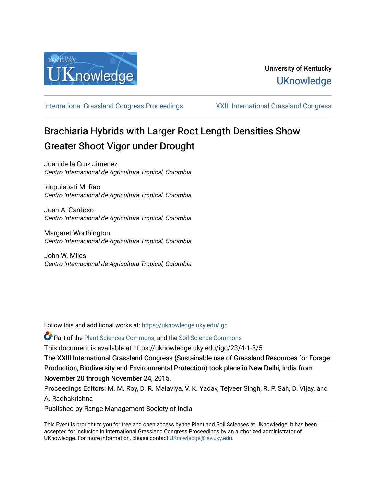

[International Grassland Congress Proceedings](https://uknowledge.uky.edu/igc) [XXIII International Grassland Congress](https://uknowledge.uky.edu/igc/23) 

# Brachiaria Hybrids with Larger Root Length Densities Show Greater Shoot Vigor under Drought

Juan de la Cruz Jimenez Centro Internacional de Agricultura Tropical, Colombia

Idupulapati M. Rao Centro Internacional de Agricultura Tropical, Colombia

Juan A. Cardoso Centro Internacional de Agricultura Tropical, Colombia

Margaret Worthington Centro Internacional de Agricultura Tropical, Colombia

John W. Miles Centro Internacional de Agricultura Tropical, Colombia

Follow this and additional works at: [https://uknowledge.uky.edu/igc](https://uknowledge.uky.edu/igc?utm_source=uknowledge.uky.edu%2Figc%2F23%2F4-1-3%2F5&utm_medium=PDF&utm_campaign=PDFCoverPages) 

Part of the [Plant Sciences Commons](http://network.bepress.com/hgg/discipline/102?utm_source=uknowledge.uky.edu%2Figc%2F23%2F4-1-3%2F5&utm_medium=PDF&utm_campaign=PDFCoverPages), and the [Soil Science Commons](http://network.bepress.com/hgg/discipline/163?utm_source=uknowledge.uky.edu%2Figc%2F23%2F4-1-3%2F5&utm_medium=PDF&utm_campaign=PDFCoverPages) 

This document is available at https://uknowledge.uky.edu/igc/23/4-1-3/5

The XXIII International Grassland Congress (Sustainable use of Grassland Resources for Forage Production, Biodiversity and Environmental Protection) took place in New Delhi, India from November 20 through November 24, 2015.

Proceedings Editors: M. M. Roy, D. R. Malaviya, V. K. Yadav, Tejveer Singh, R. P. Sah, D. Vijay, and A. Radhakrishna

Published by Range Management Society of India

This Event is brought to you for free and open access by the Plant and Soil Sciences at UKnowledge. It has been accepted for inclusion in International Grassland Congress Proceedings by an authorized administrator of UKnowledge. For more information, please contact [UKnowledge@lsv.uky.edu](mailto:UKnowledge@lsv.uky.edu).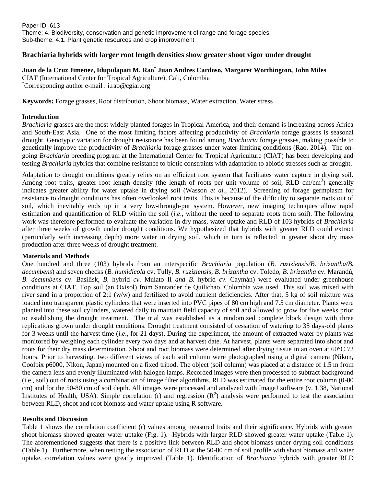## **Brachiaria hybrids with larger root length densities show greater shoot vigor under drought**

# **Juan de la Cruz Jimenez, Idupulapati M. Rao\* Juan Andres Cardoso, Margaret Worthington, John Miles**

CIAT (International Center for Tropical Agriculture), Cali, Colombia \*Corresponding author e-mail : i.rao@cgiar.org

**Keywords:** Forage grasses, Root distribution, Shoot biomass, Water extraction, Water stress

### **Introduction**

*Brachiaria* grasses are the most widely planted forages in Tropical America, and their demand is increasing across Africa and South-East Asia. One of the most limiting factors affecting productivity of *Brachiaria* forage grasses is seasonal drought. Genotypic variation for drought resistance has been found among *Brachiaria* forage grasses, making possible to genetically improve the productivity of *Brachiaria* forage grasses under water-limiting conditions (Rao, 2014). The ongoing *Brachiaria* breeding program at the International Center for Tropical Agriculture (CIAT) has been developing and testing *Brachiaria* hybrids that combine resistance to biotic constraints with adaptation to abiotic stresses such as drought.

Adaptation to drought conditions greatly relies on an efficient root system that facilitates water capture in drying soil. Among root traits, greater root length density (the length of roots per unit volume of soil, RLD cm/cm<sup>3</sup>) generally indicates greater ability for water uptake in drying soil (Wasson *et al.,* 2012). Screening of forage germplasm for resistance to drought conditions has often overlooked root traits. This is because of the difficulty to separate roots out of soil, which inevitably ends up in a very low-through-put system. However, new imaging techniques allow rapid estimation and quantification of RLD within the soil (*i.e*., without the need to separate roots from soil). The following work was therefore performed to evaluate the variation in dry mass, water uptake and RLD of 103 hybrids of *Brachiaria* after three weeks of growth under drought conditions. We hypothesized that hybrids with greater RLD could extract (particularly with increasing depth) more water in drying soil, which in turn is reflected in greater shoot dry mass production after three weeks of drought treatment.

## **Materials and Methods**

One hundred and three (103) hybrids from an interspecific *Brachiaria* population (*B. ruziziensis/B. brizantha/B. decumbens*) and seven checks (*B. humidicola* cv. Tully*, B. ruziziensis, B. brizantha* cv. Toledo, *B. brizantha* cv. Marandú, *B. decumbens* cv. Basilisk, *B.* hybrid *cv*. Mulato II *and B.* hybrid *cv*. Caymán) were evaluated under greenhouse conditions at CIAT. Top soil (an Oxisol) from Santander de Quilichao, Colombia was used. This soil was mixed with river sand in a proportion of 2:1 (w/w) and fertilized to avoid nutrient deficiencies. After that, 5 kg of soil mixture was loaded into transparent plastic cylinders that were inserted into PVC pipes of 80 cm high and 7.5 cm diameter. Plants were planted into these soil cylinders, watered daily to maintain field capacity of soil and allowed to grow for five weeks prior to establishing the drought treatment. The trial was established as a randomized complete block design with three replications grown under drought conditions. Drought treatment consisted of cessation of watering to 35 days-old plants for 3 weeks until the harvest time (*i.e*., for 21 days). During the experiment, the amount of extracted water by plants was monitored by weighing each cylinder every two days and at harvest date. At harvest, plants were separated into shoot and roots for their dry mass determination. Shoot and root biomass were determined after drying tissue in an oven at 60°C 72 hours. Prior to harvesting, two different views of each soil column were photographed using a digital camera (Nikon, Coolpix p6000, Nikon, Japan) mounted on a fixed tripod. The object (soil column) was placed at a distance of 1.5 m from the camera lens and evenly illuminated with halogen lamps. Recorded images were then processed to subtract background (i.e., soil) out of roots using a combination of image filter algorithms. RLD was estimated for the entire root column (0-80 cm) and for the 50-80 cm of soil depth. All images were processed and analyzed with ImageJ software (v. 1.38, National Institutes of Health, USA). Simple correlation (r) and regression  $(R^2)$  analysis were performed to test the association between RLD, shoot and root biomass and water uptake using R software.

#### **Results and Discussion**

Table 1 shows the correlation coefficient (r) values among measured traits and their significance. Hybrids with greater shoot biomass showed greater water uptake (Fig. 1). Hybrids with larger RLD showed greater water uptake (Table 1). The aforementioned suggests that there is a positive link between RLD and shoot biomass under drying soil conditions (Table 1). Furthermore, when testing the association of RLD at the 50-80 cm of soil profile with shoot biomass and water uptake, correlation values were greatly improved (Table 1). Identification of *Brachiaria* hybrids with greater RLD